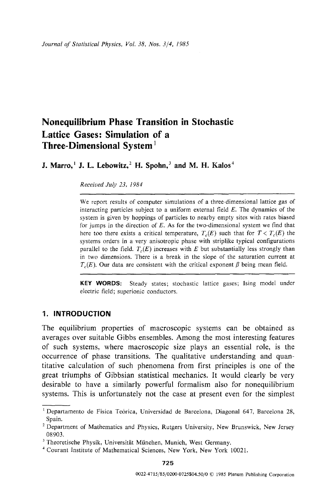# **Nonequilibrium Phase Transition in Stochastic Lattice Gases: Simulation of a Three-Dimensional System I**

**J. Marro, <sup>1</sup> J. L. Lebowitz, <sup>2</sup> H. Spohn, <sup>3</sup> and M. H. Kalos<sup>4</sup>** 

*Received July 23, 1984* 

We report results of computer simulations of a three-dimensional lattice gas of interacting particles subject to a uniform external field  $E$ . The dynamics of the system is given by hoppings of particles to nearby empty sites with rates biased for jumps in the direction of  $E$ . As for the two-dimensional system we find that here too there exists a critical temperature,  $T_c(E)$  such that for  $T < T_c(E)$  the systems orders in a very anisotropic phase with striplike typical configurations parallel to the field.  $T_c(E)$  increases with E but substantially less strongly than in two dimensions. There is a break in the slope of the saturation current at  $T_c(E)$ . Our data are consistent with the critical exponent  $\beta$  being mean field.

**KEY WORDS:** Steady states; stochastic lattice gases; lsing model under electric field; superionic conductors.

# **1. INTRODUCTION**

The equilibrium properties of macroscopic systems can be obtained as averages over suitable Gibbs ensembles. Among the most interesting features of such systems, where macroscopic size plays an essential role, is the occurrence of phase transitions. The qualitative understanding and quantitative calculation of such phenomena from first principles is one of the great triumphs of Gibbsian statistical mechanics. It would clearly be very desirable to have a similarly powerful formalism also for nonequilibrium systems. This is unfortunately not the case at present even for the simplest

 $^1$  Departamento de Fisica Teórica, Universidad de Barcelona, Diagonal 647, Barcelona 28, Spain.

 $2$  Department of Mathematics and Physics, Rutgers University, New Brunswick, New Jersey 08903.

<sup>&</sup>lt;sup>3</sup> Theoretische Physik, Universität München, Munich, West Germany.

<sup>4</sup> Courant Institute of Mathematical Sciences, New York, New York 10021.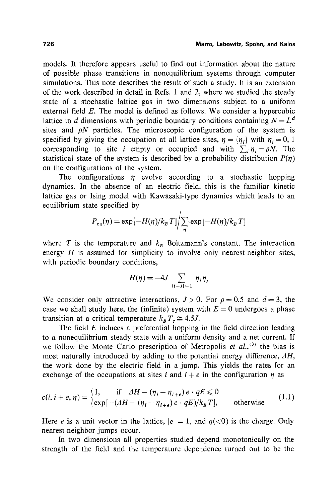models. It therefore appears useful to find out information about the nature of possible phase transitions in nonequilibrium systems through computer simulations. This note describes the result of such a study. It is an extension of the work described in detail in Refs. 1 and 2, where we studied the steady state of a stochastic lattice gas in two dimensions subject to a uniform external field  $E$ . The model is defined as follows. We consider a hypercubic lattice in d dimensions with periodic boundary conditions containing  $N = L<sup>d</sup>$ sites and  $\rho N$  particles. The microscopic configuration of the system is specified by giving the occupation at all lattice sites,  $\eta = {\eta_i}$  with  $\eta_i = 0, 1$ corresponding to site *i* empty or occupied and with  $\sum_i \eta_i = pN$ . The statistical state of the system is described by a probability distribution  $P(n)$ on the configurations of the system.

The configurations  $\eta$  evolve according to a stochastic hopping dynamics. In the absence of an electric field, this is the familiar kinetic lattice gas or Ising model with Kawasaki-type dynamics which leads to an equilibrium state specified by

$$
P_{\rm eq}(\eta) = \exp[-H(\eta)/k_B T] \bigg/ \sum_{n} \exp[-H(\eta)/k_B T]
$$

where T is the temperature and  $k_B$  Boltzmann's constant. The interaction energy  $H$  is assumed for simplicity to involve only nearest-neighbor sites, with periodic boundary conditions,

$$
H(\eta) = -4J \sum_{|i-j|=1} \eta_i \eta_j
$$

We consider only attractive interactions,  $J > 0$ . For  $\rho = 0.5$  and  $d = 3$ , the case we shall study here, the (infinite) system with  $E = 0$  undergoes a phase transition at a critical temperature  $k_B T_c \approx 4.5J$ .

The field  $E$  induces a preferential hopping in the field direction leading to a nonequilibrium steady state with a uniform density and a net current. If we follow the Monte Carlo prescription of Metropolis *et al., (3)* the bias is most naturally introduced by adding to the potential energy difference, *AH,*  the work done by the electric field in a jump. This yields the rates for an exchange of the occupations at sites i and  $i + e$  in the configuration  $\eta$  as

$$
c(i, i + e, \eta) = \begin{cases} 1, & \text{if } \Delta H - (\eta_i - \eta_{i+e})e \cdot qE \le 0 \\ \exp[-(\Delta H - (\eta_i - \eta_{i+e})e \cdot qE)/k_B T], & \text{otherwise} \end{cases} \tag{1.1}
$$

Here e is a unit vector in the lattice,  $|e|=1$ , and  $q(\langle 0 \rangle)$  is the charge. Only nearest-neighbor jumps occur.

In two dimensions all properties studied depend monotonically on the strength of the field and the temperature dependence turned out to be the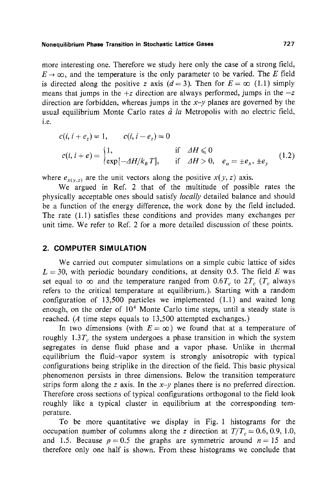#### **Nonequilibriurn Phase Transition in Stochastic Lattice Gases 727**

more interesting one. Therefore we study here only the case of a strong field,  $E \rightarrow \infty$ , and the temperature is the only parameter to be varied. The E field is directed along the positive z axis ( $d = 3$ ). Then for  $E = \infty$  (1.1) simply means that jumps in the  $+z$  direction are always performed, jumps in the  $-z$ direction are forbidden, whereas jumps in the *x-y* planes are governed by the usual equilibrium Monte Carlo rates  $\dot{a}$  *la* Metropolis with no electric field, i.e.

$$
c(i, i + e_z) = 1, \t c(i, i - e_z) = 0
$$
  
\n
$$
c(i, i + e) =\begin{cases} 1, & \text{if } \Delta H \le 0 \\ \exp[-\Delta H/k_B T], & \text{if } \Delta H > 0, e_{\alpha} = \pm e_x, \pm e_y \end{cases}
$$
(1.2)

where  $e_{x(y,z)}$  are the unit vectors along the positive  $x(y, z)$  axis.

We argued in Ref. 2 that of the multitude of possible rates the physically acceptable ones should satisfy *locally* detailed balance and should be a function of the energy difference, the work done by the field included. The rate (1.l) satisfies these conditions and provides many exchanges per unit time. We refer to Ref. 2 for a more detailed discussion of these points.

## **2. COMPUTER SIMULATION**

We carried out computer simulations on a simple cubic lattice of sides  $L = 30$ , with periodic boundary conditions, at density 0.5. The field E was set equal to  $\infty$  and the temperature ranged from 0.6T<sub>c</sub> to 2T<sub>c</sub> (T<sub>c</sub> always refers to the critical temperature at equilibrium.). Starting with a random configuration of 13,500 particles we implemented (1.1) and waited long enough, on the order of  $10<sup>4</sup>$  Monte Carlo time steps, until a steady state is reached. (A time steps equals to 13,500 attempted exchanges.)

In two dimensions (with  $E = \infty$ ) we found that at a temperature of roughly  $1.3T_c$ , the system undergoes a phase transition in which the system segregates in dense fluid phase and a vapor phase. Unlike in thermal equilibrium the fluid-vapor system is strongly anisotropic with typical configurations being striplike in the direction of the field. This basic physical phenomenon persists in three dimensions. Below the transition temperature strips form along the *z* axis. In the  $x-y$  planes there is no preferred direction. Therefore cross sections of typical configurations orthogonal to the field look roughly like a typical cluster in equilibrium at the corresponding temperature.

To be more quantitative we display in Fig. 1 histograms for the occupation number of columns along the z direction at  $T/T_c = 0.6, 0.9, 1.0$ , and 1.5. Because  $p=0.5$  the graphs are symmetric around  $n=15$  and therefore only one half is shown. From these histograms we conclude that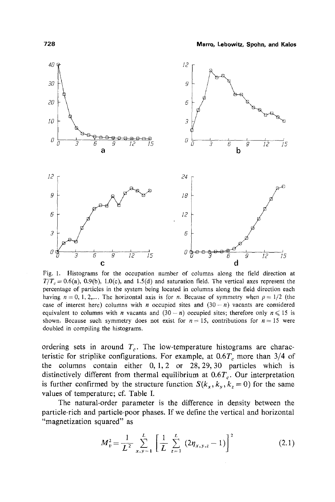

Fig. 1. Histograms for the occupation number of columns along the field direction at  $T/T_c = 0.6(a)$ , 0.9(b), 1.0(c), and 1.5(d) and saturation field. The vertical axes represent the percentage of particles in the system being located in columns along the field direction each having  $n = 0, 1, 2,...$  The horizontal axis is for n. Because of symmetry when  $\rho = 1/2$  (the case of interest here) columns with *n* occupied sites and  $(30 - n)$  vacants are considered equivalent to columns with *n* vacants and  $(30 - n)$  occupied sites; therefore only  $n \le 15$  is shown. Because such symmetry does not exist for  $n = 15$ , contributions for  $n = 15$  were doubled in compiling the histograms.

ordering sets in around  $T_c$ . The low-temperature histograms are characteristic for striplike configurations. For example, at  $0.6T_c$  more than  $3/4$  of the columns contain either  $0, 1, 2$  or  $28, 29, 30$  particles which is distinctively different from thermal equilibrium at  $0.6T_c$ . Our interpretation is further confirmed by the structure function  $S(k_x, k_y, k_z = 0)$  for the same values of temperature; cf. Table I.

The natural-order parameter is the difference in density between the particle-rich and particle-poor phases. If we define the vertical and horizontal "magnetization squared" as

$$
M_{v}^{2} = \frac{1}{L^{2}} \sum_{x,y=1}^{L} \left[ \frac{1}{L} \sum_{z=1}^{L} (2\eta_{x,y,z} - 1) \right]^{2}
$$
 (2.1)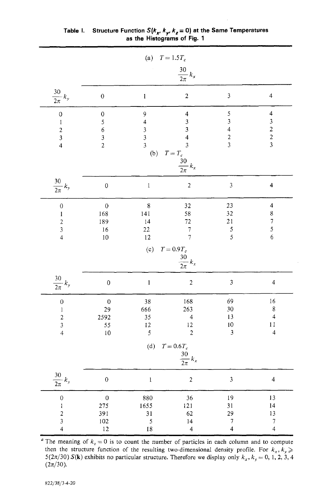| (a) $T = 1.5T_c$                                                                          |                                                                               |                                                                                   |                                                                                                           |                                                                   |                                                                                                  |  |  |
|-------------------------------------------------------------------------------------------|-------------------------------------------------------------------------------|-----------------------------------------------------------------------------------|-----------------------------------------------------------------------------------------------------------|-------------------------------------------------------------------|--------------------------------------------------------------------------------------------------|--|--|
|                                                                                           | $\frac{30}{2\pi}k_x$                                                          |                                                                                   |                                                                                                           |                                                                   |                                                                                                  |  |  |
| $\frac{30}{2\pi}k_y$                                                                      | $\mathbf 0$                                                                   | $\mathbf{I}$                                                                      | $\overline{\mathbf{c}}$                                                                                   | 3                                                                 | $\overline{\mathcal{L}}$                                                                         |  |  |
| $\mathbf 0$<br>$\mathbf{1}$<br>$\begin{array}{c} 2 \\ 3 \\ 4 \end{array}$                 | $\boldsymbol{0}$<br>5<br>$\boldsymbol{6}$<br>$\mathfrak{z}$<br>$\overline{a}$ | 9<br>$\overline{\mathbf{4}}$<br>$\begin{array}{c} 3 \\ 3 \\ 3 \end{array}$<br>(b) | $\overline{\mathbf{4}}$<br>$\frac{3}{3}$<br>$\overline{\mathbf{4}}$<br>$T = T_c$<br>$\frac{30}{2\pi} k_x$ | 5<br>3<br>$\overline{\mathbf{4}}$<br>$\overline{\mathbf{c}}$<br>3 | $\overline{\mathbf{4}}$<br>$\begin{array}{c} 3 \\ 2 \\ 2 \end{array}$<br>$\overline{\mathbf{3}}$ |  |  |
| $\frac{30}{2\pi}k_y$                                                                      | $\mathbf{0}$                                                                  | $\,$ I                                                                            | $\overline{c}$                                                                                            | $\overline{3}$                                                    | $\overline{\mathbf{4}}$                                                                          |  |  |
| $\mathbf{0}$<br>$\mathbf{1}$<br>$\begin{array}{c} 2 \\ 3 \\ 4 \end{array}$                | $\mathbf{0}$<br>168<br>189<br>16<br>10                                        | 8<br>141<br>14<br>22<br>12                                                        | 32<br>58<br>72<br>$\overline{7}$<br>$\overline{7}$                                                        | 23<br>32<br>21<br>5<br>5                                          | $\overline{\mathbf{4}}$<br>8<br>$\overline{7}$<br>5<br>$\overline{6}$                            |  |  |
|                                                                                           | (c)<br>$T = 0.9T_c$<br>$\frac{30}{2\pi}k_x$                                   |                                                                                   |                                                                                                           |                                                                   |                                                                                                  |  |  |
| $\frac{30}{2\pi}k_y$                                                                      | $\mathbf{0}$                                                                  | $\mathbf 1$                                                                       | $\overline{2}$                                                                                            | $\overline{\mathbf{3}}$                                           | $\overline{4}$                                                                                   |  |  |
| $\mathbf{0}$<br>$\mathop{1}\limits$<br>$\overline{c}$<br>$\overline{3}$<br>$\overline{4}$ | $\mathbf{0}$<br>29<br>2592<br>55<br>10                                        | 38<br>666<br>35<br>12<br>$\overline{5}$                                           | 168<br>263<br>$\overline{\mathcal{L}}$<br>12<br>$\overline{2}$                                            | 69<br>30<br>13<br>10<br>$\overline{\mathbf{3}}$                   | 16<br>8<br>$\overline{4}$<br>11<br>$\overline{4}$                                                |  |  |
|                                                                                           | $T = 0.6 T_c$<br>(d)<br>$\frac{30}{2\pi}k_x$                                  |                                                                                   |                                                                                                           |                                                                   |                                                                                                  |  |  |
| $\frac{30}{2\pi}\,k_y$                                                                    | $\boldsymbol{0}$                                                              | $\bf{l}$                                                                          | $\sqrt{2}$                                                                                                | $\mathfrak{Z}$                                                    | $\overline{4}$                                                                                   |  |  |
| $\mathbf{0}$<br>$\begin{array}{c} 1 \\ 2 \\ 3 \\ 4 \end{array}$                           | $\mathbf{0}$<br>275<br>391<br>102<br>12                                       | 880<br>1655<br>31<br>5<br>18                                                      | 36<br>121<br>62<br>14<br>$\overline{\mathbf{4}}$                                                          | 19<br>31<br>29<br>$\overline{\tau}$<br>$\overline{\mathbf{4}}$    | 13<br>14<br>13<br>$\overline{7}$<br>$\overline{4}$                                               |  |  |

| Table I. Structure Function S( $k_{\mathbf{x}^{\prime}}$ , $k_{\mathbf{y}^{\prime}}$ $k_{\mathbf{z}}$ = 0) at the Same Temperatures |  |
|-------------------------------------------------------------------------------------------------------------------------------------|--|
| as the Histograms of Fig. 1                                                                                                         |  |

<sup>a</sup> The meaning of  $k_z = 0$  is to count the number of particles in each column and to compute then the structure function of the resulting two-dimensional density profile. For  $k_x, k_y \geqslant$  $5(2\pi/30) S(k)$  exhibits no particular structure. Therefore we display only  $k_x, k_y = 0, 1, 2, 3, 4$  $(2\pi/30).$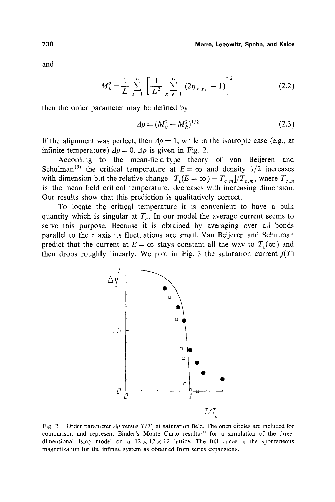and

$$
M_h^2 = \frac{1}{L} \sum_{z=1}^L \left[ \frac{1}{L^2} \sum_{x,y=1}^L (2\eta_{x,y,z} - 1) \right]^2
$$
 (2.2)

then the order parameter may be defined by

$$
\Delta \rho = (M_v^2 - M_h^2)^{1/2} \tag{2.3}
$$

If the alignment was perfect, then  $\Delta p = 1$ , while in the isotropic case (e.g., at infinite temperature)  $\Delta \rho = 0$ .  $\Delta \rho$  is given in Fig. 2.

According to the mean-field-type theory of van Beijeren and Schulman<sup>(3)</sup> the critical temperature at  $E = \infty$  and density 1/2 increases with dimension but the relative change  $[T_c(E = \infty) - T_{c,m}]/T_{c,m}$ , where  $T_{c,m}$ is the mean field critical temperature, decreases with increasing dimension. Our results show that this prediction is qualitatively correct.

To locate the critical temperature it is convenient to have a bulk quantity which is singular at  $T_c$ . In our model the average current seems to serve this purpose. Because it is obtained by averaging over all bonds parallel to the z axis its fluctuations are small. Van Beijeren and Schulman predict that the current at  $E = \infty$  stays constant all the way to  $T_c(\infty)$  and then drops roughly linearly. We plot in Fig. 3 the saturation current  $j(T)$ 



Fig. 2. Order parameter  $\Delta \rho$  versus  $T/T_c$  at saturation field. The open circles are included for comparison and represent Binder's Monte Carlo results<sup>(5)</sup> for a simulation of the threedimensional Ising model on a  $12 \times 12 \times 12$  lattice. The full curve is the spontaneous magnetization for the infinite system as obtained from series expansions.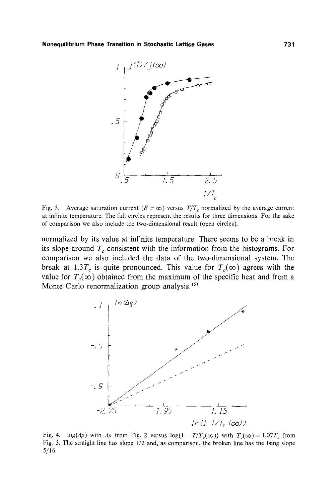

Fig. 3. Average saturation current  $(E = \infty)$  versus  $T/T_c$  normalized by the average current at infinite temperature. The full circles represent the results for three dimensions. For the sake of comparison we also include the two-dimensional result (open circles).

normalized by its value at infinite temperature. There seems to be a break in its slope around  $T_c$  consistent with the information from the histograms. For comparison we also included the data of the two-dimensional system. The break at 1.3T<sub>c</sub> is quite pronounced. This value for  $T_c(\infty)$  agrees with the value for  $T_c(\infty)$  obtained from the maximum of the specific heat and from a Monte Carlo renormalization group analysis.<sup>(5)</sup>



Fig. 4.  $\log(\Delta \rho)$  with  $\Delta \rho$  from Fig. 2 versus  $\log(1 - T/T_c(\infty))$  with  $T_c(\infty) = 1.07T_c$  from Fig. 3. The straight line has slope 1/2 and, as comparison, the broken line has the Ising slope 5/16.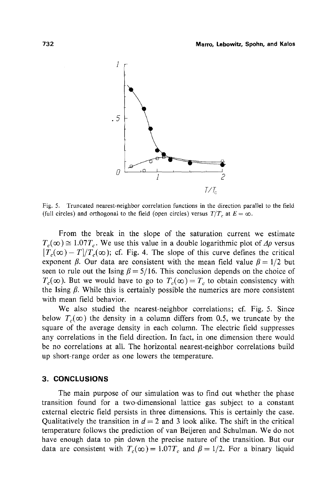

Fig. 5. Truncated nearest-neighbor correlation functions in the direction parallel to the field (full circles) and orthogonal to the field (open circles) versus  $T/T_c$  at  $E = \infty$ .

From the break in the slope of the saturation current we estimate  $T_c(\infty) \approx 1.07T_c$ . We use this value in a double logarithmic plot of  $\Delta \rho$  versus  $[T_c(\infty) - T]/T_c(\infty)$ ; cf. Fig. 4. The slope of this curve defines the critical exponent  $\beta$ . Our data are consistent with the mean field value  $\beta = 1/2$  but seen to rule out the Ising  $\beta = 5/16$ . This conclusion depends on the choice of  $T_c(\infty)$ . But we would have to go to  $T_c(\infty) = T_c$  to obtain consistency with the Ising  $\beta$ . While this is certainly possible the numerics are more consistent with mean field behavior.

We also studied the nearest-neighbor correlations; cf. Fig. 5. Since below  $T_c(\infty)$  the density in a column differs from 0.5, we truncate by the square of the average density in each column. The electric field suppresses any correlations in the field direction. In fact, in one dimension there would be no correlations at all. The horizontal nearest-neighbor correlations build up short-range order as one lowers the temperature.

### **3. CONCLUSIONS**

The main purpose of our simulation was to find out whether the phase transition found for a two-dimensional lattice gas subject to a constant external electric field persists in three dimensions. This is certainly the case. Qualitatively the transition in  $d = 2$  and 3 look alike. The shift in the critical temperature follows the prediction of van Beijeren and Schulman. We do not have enough data to pin down the precise nature of the transition. But our data are consistent with  $T_c(\infty) = 1.07T_c$  and  $\beta = 1/2$ . For a binary liquid